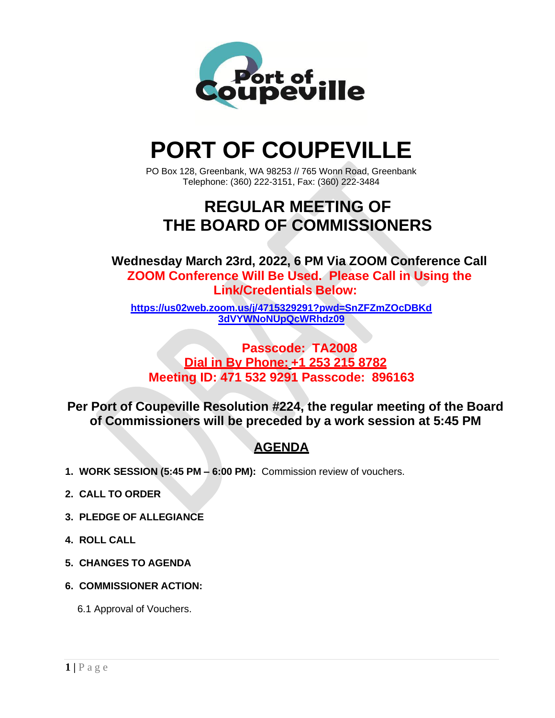

# **PORT OF COUPEVILLE**

PO Box 128, Greenbank, WA 98253 // 765 Wonn Road, Greenbank Telephone: (360) 222-3151, Fax: (360) 222-3484

## **REGULAR MEETING OF THE BOARD OF COMMISSIONERS**

**Wednesday March 23rd, 2022, 6 PM Via ZOOM Conference Call ZOOM Conference Will Be Used. Please Call in Using the Link/Credentials Below:**

**[https://us02web.zoom.us/j/4715329291?pwd=SnZFZmZOcDBKd](https://us02web.zoom.us/j/4715329291?pwd=SnZFZmZOcDBKd3dVYWNoNUpQcWRhdz09) [3dVYWNoNUpQcWRhdz09](https://us02web.zoom.us/j/4715329291?pwd=SnZFZmZOcDBKd3dVYWNoNUpQcWRhdz09)**

**Passcode: TA2008 Dial in By Phone: +1 253 215 8782 Meeting ID: 471 532 9291 Passcode: 896163**

**Per Port of Coupeville Resolution #224, the regular meeting of the Board of Commissioners will be preceded by a work session at 5:45 PM**

### **AGENDA**

- **1. WORK SESSION (5:45 PM – 6:00 PM):** Commission review of vouchers.
- **2. CALL TO ORDER**
- **3. PLEDGE OF ALLEGIANCE**
- **4. ROLL CALL**
- **5. CHANGES TO AGENDA**
- **6. COMMISSIONER ACTION:**
	- 6.1 Approval of Vouchers.